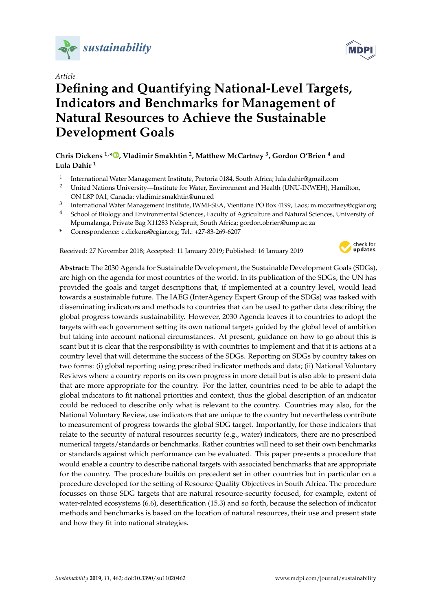

# *Article*

# **Defining and Quantifying National-Level Targets, Indicators and Benchmarks for Management of Natural Resources to Achieve the Sustainable Development Goals**

# **Chris Dickens 1,[\\*](https://orcid.org/0000-0002-4251-7767) , Vladimir Smakhtin <sup>2</sup> , Matthew McCartney <sup>3</sup> , Gordon O'Brien <sup>4</sup> and Lula Dahir <sup>1</sup>**

- 1 International Water Management Institute, Pretoria 0184, South Africa; lula.dahir@gmail.com
- <sup>2</sup> United Nations University—Institute for Water, Environment and Health (UNU-INWEH), Hamilton, ON L8P 0A1, Canada; vladimir.smakhtin@unu.ed
- 3 International Water Management Institute, IWMI-SEA, Vientiane PO Box 4199, Laos; m.mccartney@cgiar.org
- 4 School of Biology and Environmental Sciences, Faculty of Agriculture and Natural Sciences, University of Mpumalanga, Private Bag X11283 Nelspruit, South Africa; gordon.obrien@ump.ac.za
- **\*** Correspondence: c.dickens@cgiar.org; Tel.: +27-83-269-6207

Received: 27 November 2018; Accepted: 11 January 2019; Published: 16 January 2019



**Abstract:** The 2030 Agenda for Sustainable Development, the Sustainable Development Goals (SDGs), are high on the agenda for most countries of the world. In its publication of the SDGs, the UN has provided the goals and target descriptions that, if implemented at a country level, would lead towards a sustainable future. The IAEG (InterAgency Expert Group of the SDGs) was tasked with disseminating indicators and methods to countries that can be used to gather data describing the global progress towards sustainability. However, 2030 Agenda leaves it to countries to adopt the targets with each government setting its own national targets guided by the global level of ambition but taking into account national circumstances. At present, guidance on how to go about this is scant but it is clear that the responsibility is with countries to implement and that it is actions at a country level that will determine the success of the SDGs. Reporting on SDGs by country takes on two forms: (i) global reporting using prescribed indicator methods and data; (ii) National Voluntary Reviews where a country reports on its own progress in more detail but is also able to present data that are more appropriate for the country. For the latter, countries need to be able to adapt the global indicators to fit national priorities and context, thus the global description of an indicator could be reduced to describe only what is relevant to the country. Countries may also, for the National Voluntary Review, use indicators that are unique to the country but nevertheless contribute to measurement of progress towards the global SDG target. Importantly, for those indicators that relate to the security of natural resources security (e.g., water) indicators, there are no prescribed numerical targets/standards or benchmarks. Rather countries will need to set their own benchmarks or standards against which performance can be evaluated. This paper presents a procedure that would enable a country to describe national targets with associated benchmarks that are appropriate for the country. The procedure builds on precedent set in other countries but in particular on a procedure developed for the setting of Resource Quality Objectives in South Africa. The procedure focusses on those SDG targets that are natural resource-security focused, for example, extent of water-related ecosystems (6.6), desertification (15.3) and so forth, because the selection of indicator methods and benchmarks is based on the location of natural resources, their use and present state and how they fit into national strategies.

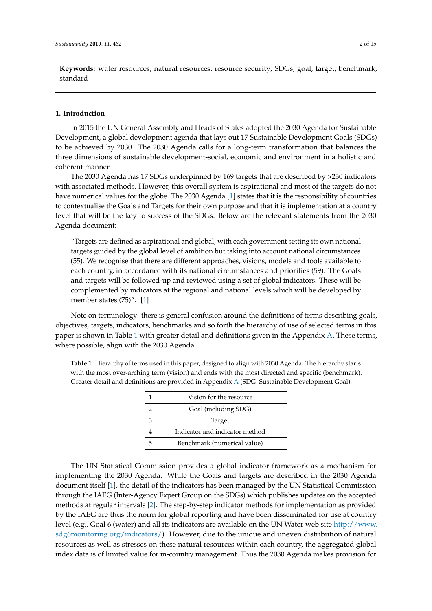**Keywords:** water resources; natural resources; resource security; SDGs; goal; target; benchmark; standard

# **1. Introduction**

In 2015 the UN General Assembly and Heads of States adopted the 2030 Agenda for Sustainable Development, a global development agenda that lays out 17 Sustainable Development Goals (SDGs) to be achieved by 2030. The 2030 Agenda calls for a long-term transformation that balances the three dimensions of sustainable development-social, economic and environment in a holistic and coherent manner.

The 2030 Agenda has 17 SDGs underpinned by 169 targets that are described by >230 indicators with associated methods. However, this overall system is aspirational and most of the targets do not have numerical values for the globe. The 2030 Agenda [\[1\]](#page-13-0) states that it is the responsibility of countries to contextualise the Goals and Targets for their own purpose and that it is implementation at a country level that will be the key to success of the SDGs. Below are the relevant statements from the 2030 Agenda document:

"Targets are defined as aspirational and global, with each government setting its own national targets guided by the global level of ambition but taking into account national circumstances. (55). We recognise that there are different approaches, visions, models and tools available to each country, in accordance with its national circumstances and priorities (59). The Goals and targets will be followed-up and reviewed using a set of global indicators. These will be complemented by indicators at the regional and national levels which will be developed by member states (75)". [\[1\]](#page-13-0)

Note on terminology: there is general confusion around the definitions of terms describing goals, objectives, targets, indicators, benchmarks and so forth the hierarchy of use of selected terms in this paper is shown in Table [1](#page-1-0) with greater detail and definitions given in the Appendix [A.](#page-12-0) These terms, where possible, align with the 2030 Agenda.

<span id="page-1-0"></span>**Table 1.** Hierarchy of terms used in this paper, designed to align with 2030 Agenda. The hierarchy starts with the most over-arching term (vision) and ends with the most directed and specific (benchmark). Greater detail and definitions are provided in Appendix [A](#page-12-0) (SDG–Sustainable Development Goal).

| Vision for the resource        |  |  |  |  |
|--------------------------------|--|--|--|--|
| Goal (including SDG)           |  |  |  |  |
| Target                         |  |  |  |  |
| Indicator and indicator method |  |  |  |  |
| Benchmark (numerical value)    |  |  |  |  |

The UN Statistical Commission provides a global indicator framework as a mechanism for implementing the 2030 Agenda. While the Goals and targets are described in the 2030 Agenda document itself [\[1\]](#page-13-0), the detail of the indicators has been managed by the UN Statistical Commission through the IAEG (Inter-Agency Expert Group on the SDGs) which publishes updates on the accepted methods at regular intervals [\[2\]](#page-13-1). The step-by-step indicator methods for implementation as provided by the IAEG are thus the norm for global reporting and have been disseminated for use at country level (e.g., Goal 6 (water) and all its indicators are available on the UN Water web site [http://www.](http://www.sdg6monitoring.org/indicators/) [sdg6monitoring.org/indicators/\)](http://www.sdg6monitoring.org/indicators/). However, due to the unique and uneven distribution of natural resources as well as stresses on these natural resources within each country, the aggregated global index data is of limited value for in-country management. Thus the 2030 Agenda makes provision for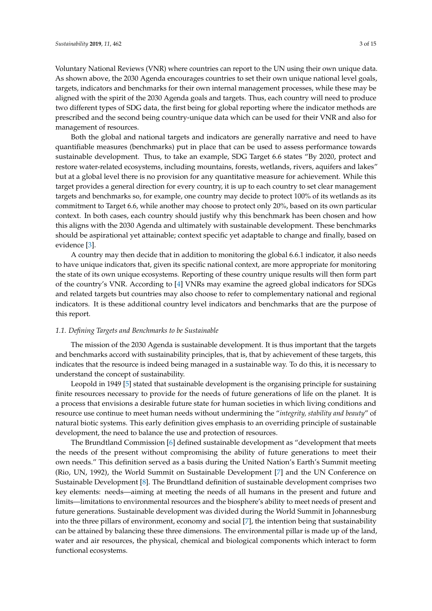Voluntary National Reviews (VNR) where countries can report to the UN using their own unique data. As shown above, the 2030 Agenda encourages countries to set their own unique national level goals, targets, indicators and benchmarks for their own internal management processes, while these may be aligned with the spirit of the 2030 Agenda goals and targets. Thus, each country will need to produce two different types of SDG data, the first being for global reporting where the indicator methods are prescribed and the second being country-unique data which can be used for their VNR and also for management of resources.

Both the global and national targets and indicators are generally narrative and need to have quantifiable measures (benchmarks) put in place that can be used to assess performance towards sustainable development. Thus, to take an example, SDG Target 6.6 states "By 2020, protect and restore water-related ecosystems, including mountains, forests, wetlands, rivers, aquifers and lakes" but at a global level there is no provision for any quantitative measure for achievement. While this target provides a general direction for every country, it is up to each country to set clear management targets and benchmarks so, for example, one country may decide to protect 100% of its wetlands as its commitment to Target 6.6, while another may choose to protect only 20%, based on its own particular context. In both cases, each country should justify why this benchmark has been chosen and how this aligns with the 2030 Agenda and ultimately with sustainable development. These benchmarks should be aspirational yet attainable; context specific yet adaptable to change and finally, based on evidence [\[3\]](#page-13-2).

A country may then decide that in addition to monitoring the global 6.6.1 indicator, it also needs to have unique indicators that, given its specific national context, are more appropriate for monitoring the state of its own unique ecosystems. Reporting of these country unique results will then form part of the country's VNR. According to [\[4\]](#page-13-3) VNRs may examine the agreed global indicators for SDGs and related targets but countries may also choose to refer to complementary national and regional indicators. It is these additional country level indicators and benchmarks that are the purpose of this report.

## *1.1. Defining Targets and Benchmarks to be Sustainable*

The mission of the 2030 Agenda is sustainable development. It is thus important that the targets and benchmarks accord with sustainability principles, that is, that by achievement of these targets, this indicates that the resource is indeed being managed in a sustainable way. To do this, it is necessary to understand the concept of sustainability.

Leopold in 1949 [\[5\]](#page-13-4) stated that sustainable development is the organising principle for sustaining finite resources necessary to provide for the needs of future generations of life on the planet. It is a process that envisions a desirable future state for human societies in which living conditions and resource use continue to meet human needs without undermining the "*integrity, stability and beauty*" of natural biotic systems. This early definition gives emphasis to an overriding principle of sustainable development, the need to balance the use and protection of resources.

The Brundtland Commission [\[6\]](#page-13-5) defined sustainable development as "development that meets the needs of the present without compromising the ability of future generations to meet their own needs." This definition served as a basis during the United Nation's Earth's Summit meeting (Rio, UN, 1992), the World Summit on Sustainable Development [\[7\]](#page-13-6) and the UN Conference on Sustainable Development [\[8\]](#page-13-7). The Brundtland definition of sustainable development comprises two key elements: needs—aiming at meeting the needs of all humans in the present and future and limits—limitations to environmental resources and the biosphere's ability to meet needs of present and future generations. Sustainable development was divided during the World Summit in Johannesburg into the three pillars of environment, economy and social [\[7\]](#page-13-6), the intention being that sustainability can be attained by balancing these three dimensions. The environmental pillar is made up of the land, water and air resources, the physical, chemical and biological components which interact to form functional ecosystems.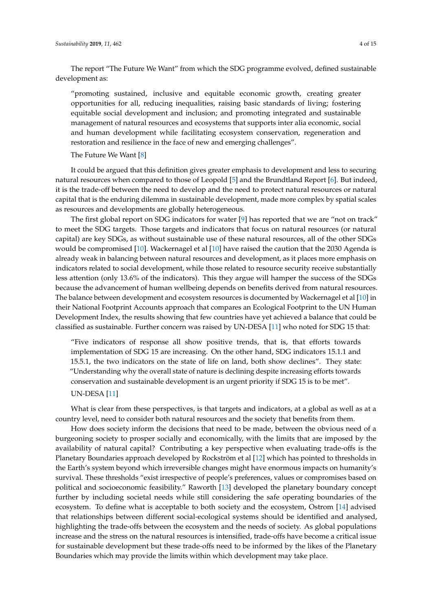The report "The Future We Want" from which the SDG programme evolved, defined sustainable development as:

"promoting sustained, inclusive and equitable economic growth, creating greater opportunities for all, reducing inequalities, raising basic standards of living; fostering equitable social development and inclusion; and promoting integrated and sustainable management of natural resources and ecosystems that supports inter alia economic, social and human development while facilitating ecosystem conservation, regeneration and restoration and resilience in the face of new and emerging challenges".

# The Future We Want [\[8\]](#page-13-7)

It could be argued that this definition gives greater emphasis to development and less to securing natural resources when compared to those of Leopold [\[5\]](#page-13-4) and the Brundtland Report [\[6\]](#page-13-5). But indeed, it is the trade-off between the need to develop and the need to protect natural resources or natural capital that is the enduring dilemma in sustainable development, made more complex by spatial scales as resources and developments are globally heterogeneous.

The first global report on SDG indicators for water [\[9\]](#page-13-8) has reported that we are "not on track" to meet the SDG targets. Those targets and indicators that focus on natural resources (or natural capital) are key SDGs, as without sustainable use of these natural resources, all of the other SDGs would be compromised [\[10\]](#page-13-9). Wackernagel et al [\[10\]](#page-13-9) have raised the caution that the 2030 Agenda is already weak in balancing between natural resources and development, as it places more emphasis on indicators related to social development, while those related to resource security receive substantially less attention (only 13.6% of the indicators). This they argue will hamper the success of the SDGs because the advancement of human wellbeing depends on benefits derived from natural resources. The balance between development and ecosystem resources is documented by Wackernagel et al [\[10\]](#page-13-9) in their National Footprint Accounts approach that compares an Ecological Footprint to the UN Human Development Index, the results showing that few countries have yet achieved a balance that could be classified as sustainable. Further concern was raised by UN-DESA [\[11\]](#page-13-10) who noted for SDG 15 that:

"Five indicators of response all show positive trends, that is, that efforts towards implementation of SDG 15 are increasing. On the other hand, SDG indicators 15.1.1 and 15.5.1, the two indicators on the state of life on land, both show declines". They state: "Understanding why the overall state of nature is declining despite increasing efforts towards conservation and sustainable development is an urgent priority if SDG 15 is to be met".

# UN-DESA [\[11\]](#page-13-10)

What is clear from these perspectives, is that targets and indicators, at a global as well as at a country level, need to consider both natural resources and the society that benefits from them.

How does society inform the decisions that need to be made, between the obvious need of a burgeoning society to prosper socially and economically, with the limits that are imposed by the availability of natural capital? Contributing a key perspective when evaluating trade-offs is the Planetary Boundaries approach developed by Rockström et al [\[12\]](#page-13-11) which has pointed to thresholds in the Earth's system beyond which irreversible changes might have enormous impacts on humanity's survival. These thresholds "exist irrespective of people's preferences, values or compromises based on political and socioeconomic feasibility." Raworth [\[13\]](#page-13-12) developed the planetary boundary concept further by including societal needs while still considering the safe operating boundaries of the ecosystem. To define what is acceptable to both society and the ecosystem, Ostrom [\[14\]](#page-13-13) advised that relationships between different social-ecological systems should be identified and analysed, highlighting the trade-offs between the ecosystem and the needs of society. As global populations increase and the stress on the natural resources is intensified, trade-offs have become a critical issue for sustainable development but these trade-offs need to be informed by the likes of the Planetary Boundaries which may provide the limits within which development may take place.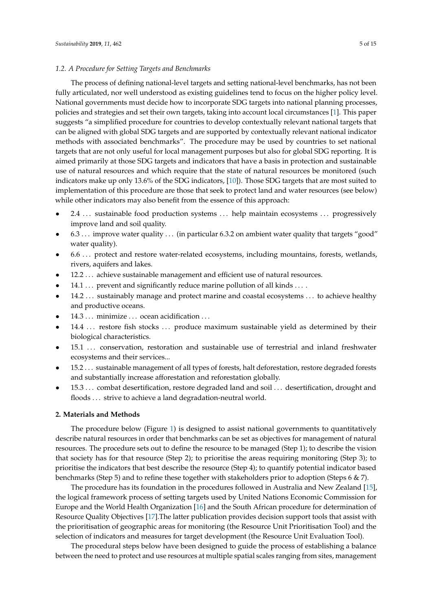# *1.2. A Procedure for Setting Targets and Benchmarks*

The process of defining national-level targets and setting national-level benchmarks, has not been fully articulated, nor well understood as existing guidelines tend to focus on the higher policy level. National governments must decide how to incorporate SDG targets into national planning processes, policies and strategies and set their own targets, taking into account local circumstances [\[1\]](#page-13-0). This paper suggests "a simplified procedure for countries to develop contextually relevant national targets that can be aligned with global SDG targets and are supported by contextually relevant national indicator methods with associated benchmarks". The procedure may be used by countries to set national targets that are not only useful for local management purposes but also for global SDG reporting. It is aimed primarily at those SDG targets and indicators that have a basis in protection and sustainable use of natural resources and which require that the state of natural resources be monitored (such indicators make up only 13.6% of the SDG indicators, [\[10\]](#page-13-9)). Those SDG targets that are most suited to implementation of this procedure are those that seek to protect land and water resources (see below) while other indicators may also benefit from the essence of this approach:

- 2.4 . . . sustainable food production systems . . . help maintain ecosystems . . . progressively improve land and soil quality.
- 6.3 . . . improve water quality . . . (in particular 6.3.2 on ambient water quality that targets "good" water quality).
- 6.6 . . . protect and restore water-related ecosystems, including mountains, forests, wetlands, rivers, aquifers and lakes.
- 12.2 . . . achieve sustainable management and efficient use of natural resources.
- 14.1 . . . prevent and significantly reduce marine pollution of all kinds . . . .
- 14.2 . . . sustainably manage and protect marine and coastal ecosystems . . . to achieve healthy and productive oceans.
- 14.3 . . . minimize . . . ocean acidification . . .
- 14.4 ... restore fish stocks ... produce maximum sustainable yield as determined by their biological characteristics.
- 15.1 ... conservation, restoration and sustainable use of terrestrial and inland freshwater ecosystems and their services...
- 15.2 . . . sustainable management of all types of forests, halt deforestation, restore degraded forests and substantially increase afforestation and reforestation globally.
- 15.3 . . . combat desertification, restore degraded land and soil . . . desertification, drought and floods ... strive to achieve a land degradation-neutral world.

# **2. Materials and Methods**

The procedure below (Figure [1\)](#page-5-0) is designed to assist national governments to quantitatively describe natural resources in order that benchmarks can be set as objectives for management of natural resources. The procedure sets out to define the resource to be managed (Step 1); to describe the vision that society has for that resource (Step 2); to prioritise the areas requiring monitoring (Step 3); to prioritise the indicators that best describe the resource (Step 4); to quantify potential indicator based benchmarks (Step 5) and to refine these together with stakeholders prior to adoption (Steps 6 & 7).

The procedure has its foundation in the procedures followed in Australia and New Zealand [\[15\]](#page-13-14), the logical framework process of setting targets used by United Nations Economic Commission for Europe and the World Health Organization [\[16\]](#page-13-15) and the South African procedure for determination of Resource Quality Objectives [\[17\]](#page-13-16).The latter publication provides decision support tools that assist with the prioritisation of geographic areas for monitoring (the Resource Unit Prioritisation Tool) and the selection of indicators and measures for target development (the Resource Unit Evaluation Tool).

The procedural steps below have been designed to guide the process of establishing a balance between the need to protect and use resources at multiple spatial scales ranging from sites, management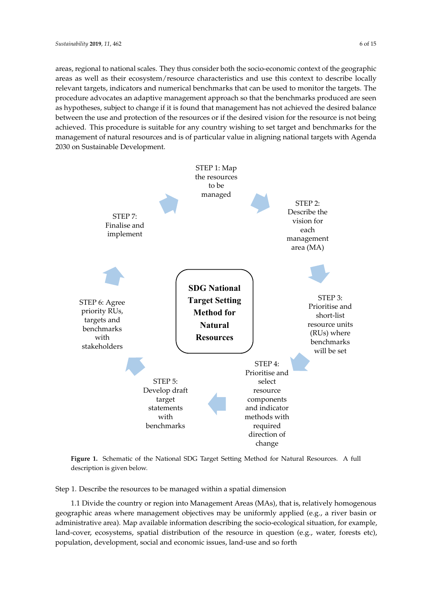areas, regional to national scales. They thus consider both the socio-economic context of the geographic areas as well as their ecosystem/resource characteristics and use this context to describe locally relevant targets, indicators and numerical benchmarks that can be used to monitor the targets. The procedure advocates an adaptive management approach so that the benchmarks produced are seen as hypotheses, subject to change if it is found that management has not achieved the desired balance between the use and protection of the resources or if the desired vision for the resource is not being achieved. This procedure is suitable for any country wishing to set target and benchmarks for the management of natural resources and is of particular value in aligning national targets with Agenda 2030 on Sustainable Development.

<span id="page-5-0"></span>

**Figure 1.** Schematic of the National SDG Target Setting Method for Natural Resources. A full **Figure 1.** Schematic of the National SDG Target Setting Method for Natural Resources. A full description is given below. description is given below.

Step 1. Describe the resources to be managed within a spatial dimension Step 1. Describe the resources to be managed within a spatial dimension

1.1 Divide the country or region into Management Areas (MAs), that is, relatively homogenous 1.1 Divide the country or region into Management Areas (MAs), that is, relatively homogenous geographic areas where management objectives may be uniformly applied (e.g., a river basin or geographic areas where management objectives may be uniformly applied (e.g., a river basin or administrative area). Map available information describing the socio-ecological situation, for administrative area). Map available information describing the socio-ecological situation, for example, land-cover, ecosystems, spatial distribution of the resource in question (e.g., water, forests etc), population, development, social and economic issues, land-use and so forth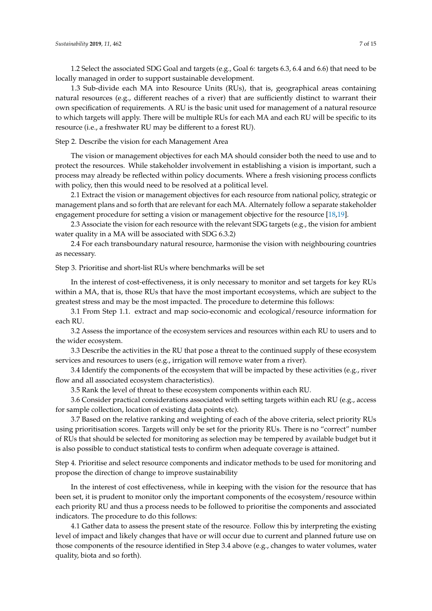1.2 Select the associated SDG Goal and targets (e.g., Goal 6: targets 6.3, 6.4 and 6.6) that need to be locally managed in order to support sustainable development.

1.3 Sub-divide each MA into Resource Units (RUs), that is, geographical areas containing natural resources (e.g., different reaches of a river) that are sufficiently distinct to warrant their own specification of requirements. A RU is the basic unit used for management of a natural resource to which targets will apply. There will be multiple RUs for each MA and each RU will be specific to its resource (i.e., a freshwater RU may be different to a forest RU).

Step 2. Describe the vision for each Management Area

The vision or management objectives for each MA should consider both the need to use and to protect the resources. While stakeholder involvement in establishing a vision is important, such a process may already be reflected within policy documents. Where a fresh visioning process conflicts with policy, then this would need to be resolved at a political level.

2.1 Extract the vision or management objectives for each resource from national policy, strategic or management plans and so forth that are relevant for each MA. Alternately follow a separate stakeholder engagement procedure for setting a vision or management objective for the resource [\[18,](#page-14-0)[19\]](#page-14-1).

2.3 Associate the vision for each resource with the relevant SDG targets (e.g., the vision for ambient water quality in a MA will be associated with SDG 6.3.2)

2.4 For each transboundary natural resource, harmonise the vision with neighbouring countries as necessary.

Step 3. Prioritise and short-list RUs where benchmarks will be set

In the interest of cost-effectiveness, it is only necessary to monitor and set targets for key RUs within a MA, that is, those RUs that have the most important ecosystems, which are subject to the greatest stress and may be the most impacted. The procedure to determine this follows:

3.1 From Step 1.1. extract and map socio-economic and ecological/resource information for each RU.

3.2 Assess the importance of the ecosystem services and resources within each RU to users and to the wider ecosystem.

3.3 Describe the activities in the RU that pose a threat to the continued supply of these ecosystem services and resources to users (e.g., irrigation will remove water from a river).

3.4 Identify the components of the ecosystem that will be impacted by these activities (e.g., river flow and all associated ecosystem characteristics).

3.5 Rank the level of threat to these ecosystem components within each RU.

3.6 Consider practical considerations associated with setting targets within each RU (e.g., access for sample collection, location of existing data points etc).

3.7 Based on the relative ranking and weighting of each of the above criteria, select priority RUs using prioritisation scores. Targets will only be set for the priority RUs. There is no "correct" number of RUs that should be selected for monitoring as selection may be tempered by available budget but it is also possible to conduct statistical tests to confirm when adequate coverage is attained.

Step 4. Prioritise and select resource components and indicator methods to be used for monitoring and propose the direction of change to improve sustainability

In the interest of cost effectiveness, while in keeping with the vision for the resource that has been set, it is prudent to monitor only the important components of the ecosystem/resource within each priority RU and thus a process needs to be followed to prioritise the components and associated indicators. The procedure to do this follows:

4.1 Gather data to assess the present state of the resource. Follow this by interpreting the existing level of impact and likely changes that have or will occur due to current and planned future use on those components of the resource identified in Step 3.4 above (e.g., changes to water volumes, water quality, biota and so forth).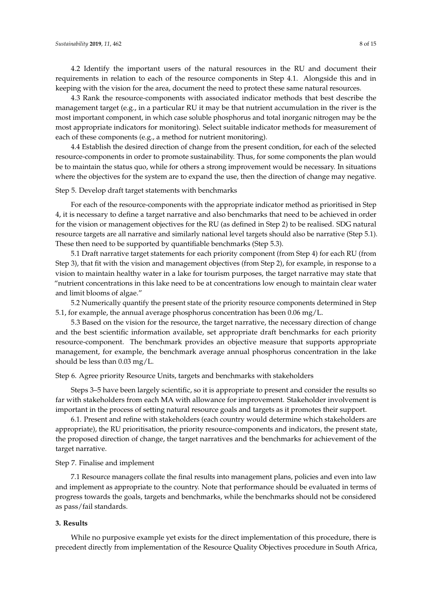4.2 Identify the important users of the natural resources in the RU and document their requirements in relation to each of the resource components in Step 4.1. Alongside this and in keeping with the vision for the area, document the need to protect these same natural resources.

4.3 Rank the resource-components with associated indicator methods that best describe the management target (e.g., in a particular RU it may be that nutrient accumulation in the river is the most important component, in which case soluble phosphorus and total inorganic nitrogen may be the most appropriate indicators for monitoring). Select suitable indicator methods for measurement of each of these components (e.g., a method for nutrient monitoring).

4.4 Establish the desired direction of change from the present condition, for each of the selected resource-components in order to promote sustainability. Thus, for some components the plan would be to maintain the status quo, while for others a strong improvement would be necessary. In situations where the objectives for the system are to expand the use, then the direction of change may negative.

#### Step 5. Develop draft target statements with benchmarks

For each of the resource-components with the appropriate indicator method as prioritised in Step 4, it is necessary to define a target narrative and also benchmarks that need to be achieved in order for the vision or management objectives for the RU (as defined in Step 2) to be realised. SDG natural resource targets are all narrative and similarly national level targets should also be narrative (Step 5.1). These then need to be supported by quantifiable benchmarks (Step 5.3).

5.1 Draft narrative target statements for each priority component (from Step 4) for each RU (from Step 3), that fit with the vision and management objectives (from Step 2), for example, in response to a vision to maintain healthy water in a lake for tourism purposes, the target narrative may state that "nutrient concentrations in this lake need to be at concentrations low enough to maintain clear water and limit blooms of algae."

5.2 Numerically quantify the present state of the priority resource components determined in Step 5.1, for example, the annual average phosphorus concentration has been 0.06 mg/L.

5.3 Based on the vision for the resource, the target narrative, the necessary direction of change and the best scientific information available, set appropriate draft benchmarks for each priority resource-component. The benchmark provides an objective measure that supports appropriate management, for example, the benchmark average annual phosphorus concentration in the lake should be less than 0.03 mg/L.

# Step 6. Agree priority Resource Units, targets and benchmarks with stakeholders

Steps 3–5 have been largely scientific, so it is appropriate to present and consider the results so far with stakeholders from each MA with allowance for improvement. Stakeholder involvement is important in the process of setting natural resource goals and targets as it promotes their support.

6.1. Present and refine with stakeholders (each country would determine which stakeholders are appropriate), the RU prioritisation, the priority resource-components and indicators, the present state, the proposed direction of change, the target narratives and the benchmarks for achievement of the target narrative.

# Step 7. Finalise and implement

7.1 Resource managers collate the final results into management plans, policies and even into law and implement as appropriate to the country. Note that performance should be evaluated in terms of progress towards the goals, targets and benchmarks, while the benchmarks should not be considered as pass/fail standards.

# **3. Results**

While no purposive example yet exists for the direct implementation of this procedure, there is precedent directly from implementation of the Resource Quality Objectives procedure in South Africa,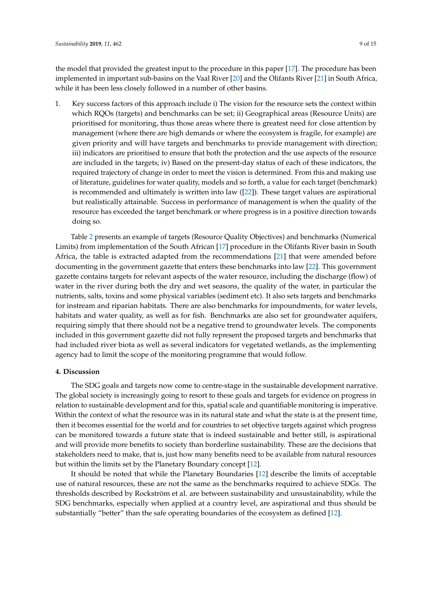the model that provided the greatest input to the procedure in this paper [\[17\]](#page-13-16). The procedure has been implemented in important sub-basins on the Vaal River [\[20\]](#page-14-2) and the Olifants River [\[21\]](#page-14-3) in South Africa, while it has been less closely followed in a number of other basins.

1. Key success factors of this approach include i) The vision for the resource sets the context within which RQOs (targets) and benchmarks can be set; ii) Geographical areas (Resource Units) are prioritised for monitoring, thus those areas where there is greatest need for close attention by management (where there are high demands or where the ecosystem is fragile, for example) are given priority and will have targets and benchmarks to provide management with direction; iii) indicators are prioritised to ensure that both the protection and the use aspects of the resource are included in the targets; iv) Based on the present-day status of each of these indicators, the required trajectory of change in order to meet the vision is determined. From this and making use of literature, guidelines for water quality, models and so forth, a value for each target (benchmark) is recommended and ultimately is written into law  $([22])$  $([22])$  $([22])$ . These target values are aspirational but realistically attainable. Success in performance of management is when the quality of the resource has exceeded the target benchmark or where progress is in a positive direction towards doing so.

Table [2](#page-9-0) presents an example of targets (Resource Quality Objectives) and benchmarks (Numerical Limits) from implementation of the South African [\[17\]](#page-13-16) procedure in the Olifants River basin in South Africa, the table is extracted adapted from the recommendations [\[21\]](#page-14-3) that were amended before documenting in the government gazette that enters these benchmarks into law [\[22\]](#page-14-4). This government gazette contains targets for relevant aspects of the water resource, including the discharge (flow) of water in the river during both the dry and wet seasons, the quality of the water, in particular the nutrients, salts, toxins and some physical variables (sediment etc). It also sets targets and benchmarks for instream and riparian habitats. There are also benchmarks for impoundments, for water levels, habitats and water quality, as well as for fish. Benchmarks are also set for groundwater aquifers, requiring simply that there should not be a negative trend to groundwater levels. The components included in this government gazette did not fully represent the proposed targets and benchmarks that had included river biota as well as several indicators for vegetated wetlands, as the implementing agency had to limit the scope of the monitoring programme that would follow.

# **4. Discussion**

The SDG goals and targets now come to centre-stage in the sustainable development narrative. The global society is increasingly going to resort to these goals and targets for evidence on progress in relation to sustainable development and for this, spatial scale and quantifiable monitoring is imperative. Within the context of what the resource was in its natural state and what the state is at the present time, then it becomes essential for the world and for countries to set objective targets against which progress can be monitored towards a future state that is indeed sustainable and better still, is aspirational and will provide more benefits to society than borderline sustainability. These are the decisions that stakeholders need to make, that is, just how many benefits need to be available from natural resources but within the limits set by the Planetary Boundary concept [\[12\]](#page-13-11).

It should be noted that while the Planetary Boundaries [\[12\]](#page-13-11) describe the limits of acceptable use of natural resources, these are not the same as the benchmarks required to achieve SDGs. The thresholds described by Rockström et al. are between sustainability and unsustainability, while the SDG benchmarks, especially when applied at a country level, are aspirational and thus should be substantially "better" than the safe operating boundaries of the ecosystem as defined [\[12\]](#page-13-11).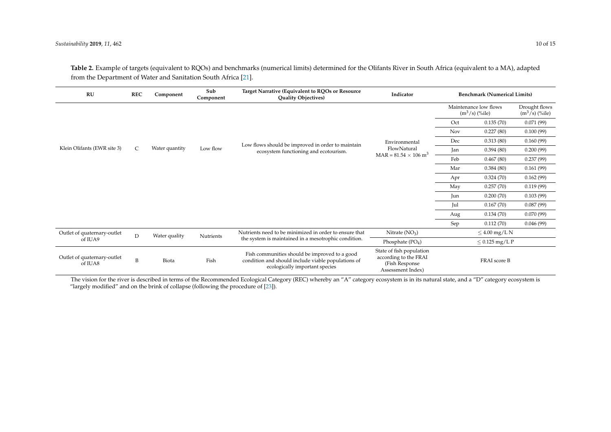| RU                                     | <b>REC</b>   | Component      | Sub<br>Component | Target Narrative (Equivalent to RQOs or Resource<br><b>Quality Objectives)</b>                                                        | Indicator                                                                                 | <b>Benchmark (Numerical Limits)</b>       |                     |                                   |
|----------------------------------------|--------------|----------------|------------------|---------------------------------------------------------------------------------------------------------------------------------------|-------------------------------------------------------------------------------------------|-------------------------------------------|---------------------|-----------------------------------|
|                                        |              |                |                  |                                                                                                                                       |                                                                                           | Maintenance low flows<br>$(m^3/s)$ (%ile) |                     | Drought flows<br>$(m^3/s)$ (%ile) |
|                                        |              |                |                  |                                                                                                                                       |                                                                                           | Oct                                       | 0.135(70)           | 0.071(99)                         |
|                                        |              |                |                  |                                                                                                                                       |                                                                                           | <b>Nov</b>                                | 0.227(80)           | 0.100(99)                         |
|                                        | $\mathsf{C}$ | Water quantity | Low flow         | Low flows should be improved in order to maintain<br>ecosystem functioning and ecotourism.                                            | Environmental<br>FlowNatural<br>$MAR = 81.54 \times 106$ m <sup>3</sup>                   | Dec                                       | 0.313(80)           | 0.160(99)                         |
| Klein Olifants (EWR site 3)            |              |                |                  |                                                                                                                                       |                                                                                           | Jan                                       | 0.394(80)           | 0.200(99)                         |
|                                        |              |                |                  |                                                                                                                                       |                                                                                           | Feb                                       | 0.467(80)           | 0.237(99)                         |
|                                        |              |                |                  |                                                                                                                                       |                                                                                           | Mar                                       | 0.384(80)           | 0.161(99)                         |
|                                        |              |                |                  |                                                                                                                                       |                                                                                           | Apr                                       | 0.324(70)           | 0.162(99)                         |
|                                        |              |                |                  |                                                                                                                                       |                                                                                           | May                                       | 0.257(70)           | 0.119(99)                         |
|                                        |              |                |                  |                                                                                                                                       |                                                                                           | Jun                                       | 0.200(70)           | 0.103(99)                         |
|                                        |              |                |                  |                                                                                                                                       |                                                                                           | Jul                                       | 0.167(70)           | 0.087(99)                         |
|                                        |              |                |                  |                                                                                                                                       |                                                                                           | Aug                                       | 0.134(70)           | 0.070(99)                         |
|                                        |              |                |                  |                                                                                                                                       |                                                                                           | Sep                                       | 0.112(70)           | 0.046(99)                         |
| Outlet of quaternary-outlet            | $\mathbf D$  | Water quality  | Nutrients        | Nutrients need to be minimized in order to ensure that<br>the system is maintained in a mesotrophic condition.                        | Nitrate $(NO3)$                                                                           |                                           | $\leq 4.00$ mg/L N  |                                   |
| of IUA9                                |              |                |                  |                                                                                                                                       | Phosphate $(PO4)$                                                                         |                                           | $\leq$ 0.125 mg/L P |                                   |
| Outlet of quaternary-outlet<br>of IUA8 | B            | Biota          | Fish             | Fish communities should be improved to a good<br>condition and should include viable populations of<br>ecologically important species | State of fish population<br>according to the FRAI<br>(Fish Response)<br>Assessment Index) | FRAI score B                              |                     |                                   |

**Table 2.** Example of targets (equivalent to RQOs) and benchmarks (numerical limits) determined for the Olifants River in South Africa (equivalent to a MA), adapted from the Department of Water and Sanitation South Africa [\[21\]](#page-14-5).

<span id="page-9-0"></span>The vision for the river is described in terms of the Recommended Ecological Category (REC) whereby an "A" category ecosystem is in its natural state, and a "D" category ecosystem is "largely modified" and on the brink of collapse (following the procedure of [\[23\]](#page-14-6)).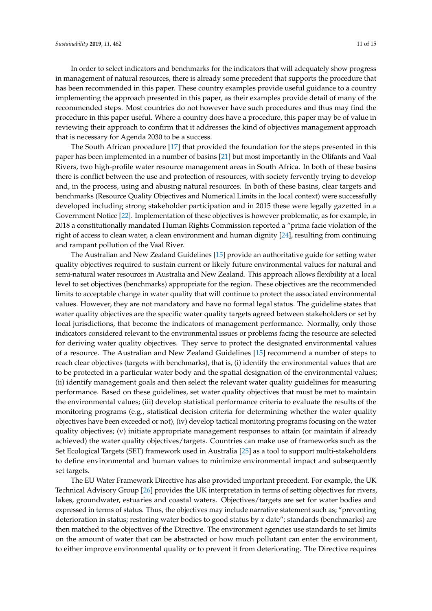In order to select indicators and benchmarks for the indicators that will adequately show progress in management of natural resources, there is already some precedent that supports the procedure that has been recommended in this paper. These country examples provide useful guidance to a country implementing the approach presented in this paper, as their examples provide detail of many of the recommended steps. Most countries do not however have such procedures and thus may find the procedure in this paper useful. Where a country does have a procedure, this paper may be of value in reviewing their approach to confirm that it addresses the kind of objectives management approach that is necessary for Agenda 2030 to be a success.

The South African procedure [\[17\]](#page-13-16) that provided the foundation for the steps presented in this paper has been implemented in a number of basins [\[21\]](#page-14-3) but most importantly in the Olifants and Vaal Rivers, two high-profile water resource management areas in South Africa. In both of these basins there is conflict between the use and protection of resources, with society fervently trying to develop and, in the process, using and abusing natural resources. In both of these basins, clear targets and benchmarks (Resource Quality Objectives and Numerical Limits in the local context) were successfully developed including strong stakeholder participation and in 2015 these were legally gazetted in a Government Notice [\[22\]](#page-14-4). Implementation of these objectives is however problematic, as for example, in 2018 a constitutionally mandated Human Rights Commission reported a "prima facie violation of the right of access to clean water, a clean environment and human dignity [\[24\]](#page-14-7), resulting from continuing and rampant pollution of the Vaal River.

The Australian and New Zealand Guidelines [\[15\]](#page-13-14) provide an authoritative guide for setting water quality objectives required to sustain current or likely future environmental values for natural and semi-natural water resources in Australia and New Zealand. This approach allows flexibility at a local level to set objectives (benchmarks) appropriate for the region. These objectives are the recommended limits to acceptable change in water quality that will continue to protect the associated environmental values. However, they are not mandatory and have no formal legal status. The guideline states that water quality objectives are the specific water quality targets agreed between stakeholders or set by local jurisdictions, that become the indicators of management performance. Normally, only those indicators considered relevant to the environmental issues or problems facing the resource are selected for deriving water quality objectives. They serve to protect the designated environmental values of a resource. The Australian and New Zealand Guidelines [\[15\]](#page-13-14) recommend a number of steps to reach clear objectives (targets with benchmarks), that is, (i) identify the environmental values that are to be protected in a particular water body and the spatial designation of the environmental values; (ii) identify management goals and then select the relevant water quality guidelines for measuring performance. Based on these guidelines, set water quality objectives that must be met to maintain the environmental values; (iii) develop statistical performance criteria to evaluate the results of the monitoring programs (e.g., statistical decision criteria for determining whether the water quality objectives have been exceeded or not), (iv) develop tactical monitoring programs focusing on the water quality objectives; (v) initiate appropriate management responses to attain (or maintain if already achieved) the water quality objectives/targets. Countries can make use of frameworks such as the Set Ecological Targets (SET) framework used in Australia [\[25\]](#page-14-8) as a tool to support multi-stakeholders to define environmental and human values to minimize environmental impact and subsequently set targets.

The EU Water Framework Directive has also provided important precedent. For example, the UK Technical Advisory Group [\[26\]](#page-14-9) provides the UK interpretation in terms of setting objectives for rivers, lakes, groundwater, estuaries and coastal waters. Objectives/targets are set for water bodies and expressed in terms of status. Thus, the objectives may include narrative statement such as; "preventing deterioration in status; restoring water bodies to good status by *x* date"; standards (benchmarks) are then matched to the objectives of the Directive. The environment agencies use standards to set limits on the amount of water that can be abstracted or how much pollutant can enter the environment, to either improve environmental quality or to prevent it from deteriorating. The Directive requires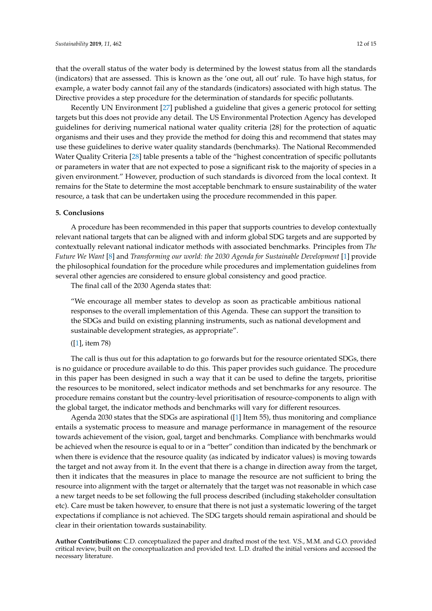that the overall status of the water body is determined by the lowest status from all the standards (indicators) that are assessed. This is known as the 'one out, all out' rule. To have high status, for example, a water body cannot fail any of the standards (indicators) associated with high status. The Directive provides a step procedure for the determination of standards for specific pollutants.

Recently UN Environment [\[27\]](#page-14-10) published a guideline that gives a generic protocol for setting targets but this does not provide any detail. The US Environmental Protection Agency has developed guidelines for deriving numerical national water quality criteria {28} for the protection of aquatic organisms and their uses and they provide the method for doing this and recommend that states may use these guidelines to derive water quality standards (benchmarks). The National Recommended Water Quality Criteria [\[28\]](#page-14-11) table presents a table of the "highest concentration of specific pollutants or parameters in water that are not expected to pose a significant risk to the majority of species in a given environment." However, production of such standards is divorced from the local context. It remains for the State to determine the most acceptable benchmark to ensure sustainability of the water resource, a task that can be undertaken using the procedure recommended in this paper.

#### **5. Conclusions**

A procedure has been recommended in this paper that supports countries to develop contextually relevant national targets that can be aligned with and inform global SDG targets and are supported by contextually relevant national indicator methods with associated benchmarks. Principles from *The Future We Want* [\[8\]](#page-13-7) and *Transforming our world: the 2030 Agenda for Sustainable Development* [\[1\]](#page-13-0) provide the philosophical foundation for the procedure while procedures and implementation guidelines from several other agencies are considered to ensure global consistency and good practice.

The final call of the 2030 Agenda states that:

"We encourage all member states to develop as soon as practicable ambitious national responses to the overall implementation of this Agenda. These can support the transition to the SDGs and build on existing planning instruments, such as national development and sustainable development strategies, as appropriate".

# ([\[1\]](#page-13-0), item 78)

The call is thus out for this adaptation to go forwards but for the resource orientated SDGs, there is no guidance or procedure available to do this. This paper provides such guidance. The procedure in this paper has been designed in such a way that it can be used to define the targets, prioritise the resources to be monitored, select indicator methods and set benchmarks for any resource. The procedure remains constant but the country-level prioritisation of resource-components to align with the global target, the indicator methods and benchmarks will vary for different resources.

Agenda 2030 states that the SDGs are aspirational ([\[1\]](#page-13-0) Item 55), thus monitoring and compliance entails a systematic process to measure and manage performance in management of the resource towards achievement of the vision, goal, target and benchmarks. Compliance with benchmarks would be achieved when the resource is equal to or in a "better" condition than indicated by the benchmark or when there is evidence that the resource quality (as indicated by indicator values) is moving towards the target and not away from it. In the event that there is a change in direction away from the target, then it indicates that the measures in place to manage the resource are not sufficient to bring the resource into alignment with the target or alternately that the target was not reasonable in which case a new target needs to be set following the full process described (including stakeholder consultation etc). Care must be taken however, to ensure that there is not just a systematic lowering of the target expectations if compliance is not achieved. The SDG targets should remain aspirational and should be clear in their orientation towards sustainability.

**Author Contributions:** C.D. conceptualized the paper and drafted most of the text. V.S., M.M. and G.O. provided critical review, built on the conceptualization and provided text. L.D. drafted the initial versions and accessed the necessary literature.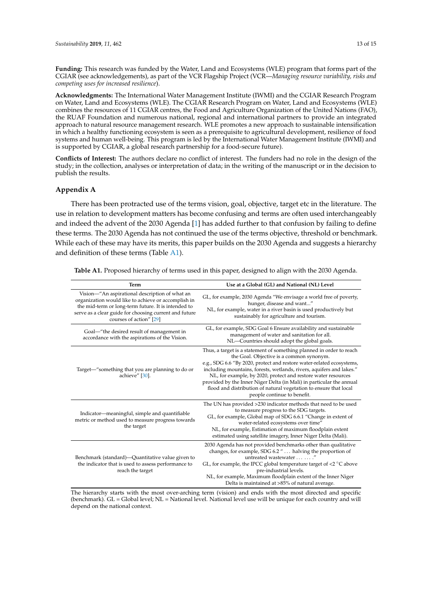**Funding:** This research was funded by the Water, Land and Ecosystems (WLE) program that forms part of the CGIAR (see acknowledgements), as part of the VCR Flagship Project (VCR—*Managing resource variability, risks and competing uses for increased resilience*).

**Acknowledgments:** The International Water Management Institute (IWMI) and the CGIAR Research Program on Water, Land and Ecosystems (WLE). The CGIAR Research Program on Water, Land and Ecosystems (WLE) combines the resources of 11 CGIAR centres, the Food and Agriculture Organization of the United Nations (FAO), the RUAF Foundation and numerous national, regional and international partners to provide an integrated approach to natural resource management research. WLE promotes a new approach to sustainable intensification in which a healthy functioning ecosystem is seen as a prerequisite to agricultural development, resilience of food systems and human well-being. This program is led by the International Water Management Institute (IWMI) and is supported by CGIAR, a global research partnership for a food-secure future).

**Conflicts of Interest:** The authors declare no conflict of interest. The funders had no role in the design of the study; in the collection, analyses or interpretation of data; in the writing of the manuscript or in the decision to publish the results.

## <span id="page-12-0"></span>**Appendix A**

There has been protracted use of the terms vision, goal, objective, target etc in the literature. The use in relation to development matters has become confusing and terms are often used interchangeably and indeed the advent of the 2030 Agenda [\[1\]](#page-13-0) has added further to that confusion by failing to define these terms. The 2030 Agenda has not continued the use of the terms objective, threshold or benchmark. While each of these may have its merits, this paper builds on the 2030 Agenda and suggests a hierarchy and definition of these terms (Table [A1\)](#page-12-1).

| <b>Term</b>                                                                                                                                                                                                                                       | Use at a Global (GL) and National (NL) Level                                                                                                                                                                                                                                                                                                                                                                                                                                                                   |  |  |  |  |
|---------------------------------------------------------------------------------------------------------------------------------------------------------------------------------------------------------------------------------------------------|----------------------------------------------------------------------------------------------------------------------------------------------------------------------------------------------------------------------------------------------------------------------------------------------------------------------------------------------------------------------------------------------------------------------------------------------------------------------------------------------------------------|--|--|--|--|
| Vision-"An aspirational description of what an<br>organization would like to achieve or accomplish in<br>the mid-term or long-term future. It is intended to<br>serve as a clear guide for choosing current and future<br>courses of action" [29] | GL, for example, 2030 Agenda "We envisage a world free of poverty,<br>hunger, disease and want"<br>NL, for example, water in a river basin is used productively but<br>sustainably for agriculture and tourism.                                                                                                                                                                                                                                                                                                |  |  |  |  |
| Goal—"the desired result of management in<br>accordance with the aspirations of the Vision.                                                                                                                                                       | GL, for example, SDG Goal 6 Ensure availability and sustainable<br>management of water and sanitation for all.<br>NL-Countries should adopt the global goals.                                                                                                                                                                                                                                                                                                                                                  |  |  |  |  |
| Target—"something that you are planning to do or<br>achieve" [30].                                                                                                                                                                                | Thus, a target is a statement of something planned in order to reach<br>the Goal. Objective is a common synonym.<br>e.g., SDG 6.6 "By 2020, protect and restore water-related ecosystems,<br>including mountains, forests, wetlands, rivers, aquifers and lakes."<br>NL, for example, by 2020, protect and restore water resources<br>provided by the Inner Niger Delta (in Mali) in particular the annual<br>flood and distribution of natural vegetation to ensure that local<br>people continue to benefit. |  |  |  |  |
| Indicator-meaningful, simple and quantifiable<br>metric or method used to measure progress towards<br>the target                                                                                                                                  | The UN has provided >230 indicator methods that need to be used<br>to measure progress to the SDG targets.<br>GL, for example, Global map of SDG 6.6.1 "Change in extent of<br>water-related ecosystems over time"<br>NL, for example, Estimation of maximum floodplain extent<br>estimated using satellite imagery, Inner Niger Delta (Mali).                                                                                                                                                                 |  |  |  |  |
| Benchmark (standard)—Quantitative value given to<br>the indicator that is used to assess performance to<br>reach the target                                                                                                                       | 2030 Agenda has not provided benchmarks other than qualitative<br>changes, for example, SDG 6.2 " halving the proportion of<br>untreated wastewater   ."<br>GL, for example, the IPCC global temperature target of <2 $^{\circ}$ C above<br>pre-industrial levels.<br>NL, for example, Maximum floodplain extent of the Inner Niger<br>Delta is maintained at >85% of natural average.                                                                                                                         |  |  |  |  |

<span id="page-12-1"></span>**Table A1.** Proposed hierarchy of terms used in this paper, designed to align with the 2030 Agenda.

The hierarchy starts with the most over-arching term (vision) and ends with the most directed and specific (benchmark). GL = Global level; NL = National level. National level use will be unique for each country and will depend on the national context.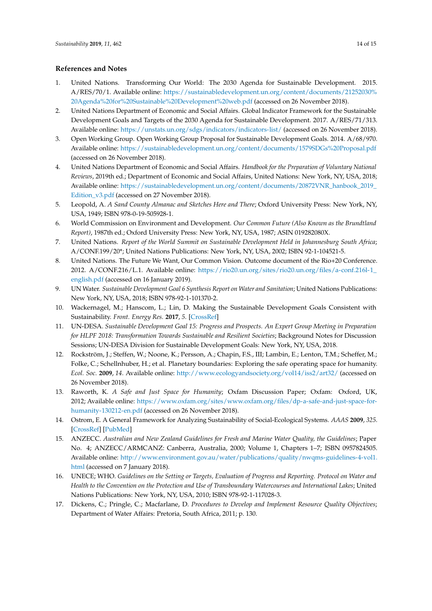# **References and Notes**

- <span id="page-13-0"></span>1. United Nations. Transforming Our World: The 2030 Agenda for Sustainable Development. 2015. A/RES/70/1. Available online: [https://sustainabledevelopment.un.org/content/documents/21252030%](https://sustainabledevelopment.un.org/content/documents/21252030%20Agenda%20for%20Sustainable%20Development%20web.pdf) [20Agenda%20for%20Sustainable%20Development%20web.pdf](https://sustainabledevelopment.un.org/content/documents/21252030%20Agenda%20for%20Sustainable%20Development%20web.pdf) (accessed on 26 November 2018).
- <span id="page-13-1"></span>2. United Nations Department of Economic and Social Affairs. Global Indicator Framework for the Sustainable Development Goals and Targets of the 2030 Agenda for Sustainable Development. 2017. A/RES/71/313. Available online: <https://unstats.un.org/sdgs/indicators/indicators-list/> (accessed on 26 November 2018).
- <span id="page-13-2"></span>3. Open Working Group. Open Working Group Proposal for Sustainable Development Goals. 2014. A/68/970. Available online: <https://sustainabledevelopment.un.org/content/documents/1579SDGs%20Proposal.pdf> (accessed on 26 November 2018).
- <span id="page-13-3"></span>4. United Nations Department of Economic and Social Affairs. *Handbook for the Preparation of Voluntary National Reviews*, 2019th ed.; Department of Economic and Social Affairs, United Nations: New York, NY, USA, 2018; Available online: [https://sustainabledevelopment.un.org/content/documents/20872VNR\\_hanbook\\_2019\\_](https://sustainabledevelopment.un.org/content/documents/20872VNR_hanbook_2019_Edition_v3.pdf) [Edition\\_v3.pdf](https://sustainabledevelopment.un.org/content/documents/20872VNR_hanbook_2019_Edition_v3.pdf) (accessed on 27 November 2018).
- <span id="page-13-4"></span>5. Leopold, A. *A Sand County Almanac and Sketches Here and There*; Oxford University Press: New York, NY, USA, 1949; ISBN 978-0-19-505928-1.
- <span id="page-13-5"></span>6. World Commission on Environment and Development. *Our Common Future (Also Known as the Brundtland Report)*, 1987th ed.; Oxford University Press: New York, NY, USA, 1987; ASIN 019282080X.
- <span id="page-13-6"></span>7. United Nations. *Report of the World Summit on Sustainable Development Held in Johannesburg South Africa*; A/CONF.199/20\*; United Nations Publications: New York, NY, USA, 2002; ISBN 92-1-104521-5.
- <span id="page-13-7"></span>8. United Nations. The Future We Want, Our Common Vision. Outcome document of the Rio+20 Conference. 2012. A/CONF.216/L.1. Available online: [https://rio20.un.org/sites/rio20.un.org/files/a-conf.216l-1\\_](https://rio20.un.org/sites/rio20.un.org/files/a-conf.216l-1_english.pdf) [english.pdf](https://rio20.un.org/sites/rio20.un.org/files/a-conf.216l-1_english.pdf) (accessed on 16 January 2019).
- <span id="page-13-8"></span>9. UN Water. *Sustainable Development Goal 6 Synthesis Report on Water and Sanitation*; United Nations Publications: New York, NY, USA, 2018; ISBN 978-92-1-101370-2.
- <span id="page-13-9"></span>10. Wackernagel, M.; Hanscom, L.; Lin, D. Making the Sustainable Development Goals Consistent with Sustainability. *Front. Energy Res.* **2017**, *5*. [\[CrossRef\]](http://dx.doi.org/10.3389/fenrg.2017.00018)
- <span id="page-13-10"></span>11. UN-DESA. *Sustainable Development Goal 15: Progress and Prospects. An Expert Group Meeting in Preparation for HLPF 2018: Transformation Towards Sustainable and Resilient Societies*; Background Notes for Discussion Sessions; UN-DESA Division for Sustainable Development Goals: New York, NY, USA, 2018.
- <span id="page-13-11"></span>12. Rockström, J.; Steffen, W.; Noone, K.; Persson, A.; Chapin, F.S., III; Lambin, E.; Lenton, T.M.; Scheffer, M.; Folke, C.; Schellnhuber, H.; et al. Planetary boundaries: Exploring the safe operating space for humanity. *Ecol. Soc.* **2009**, *14*. Available online: <http://www.ecologyandsociety.org/vol14/iss2/art32/> (accessed on 26 November 2018).
- <span id="page-13-12"></span>13. Raworth, K. *A Safe and Just Space for Humanity*; Oxfam Discussion Paper; Oxfam: Oxford, UK, 2012; Available online: [https://www.oxfam.org/sites/www.oxfam.org/files/dp-a-safe-and-just-space-for](https://www.oxfam.org/sites/www.oxfam.org/files/dp-a-safe-and-just-space-for-humanity-130212-en.pdf)[humanity-130212-en.pdf](https://www.oxfam.org/sites/www.oxfam.org/files/dp-a-safe-and-just-space-for-humanity-130212-en.pdf) (accessed on 26 November 2018).
- <span id="page-13-13"></span>14. Ostrom, E. A General Framework for Analyzing Sustainability of Social-Ecological Systems. *AAAS* **2009**, *325*. [\[CrossRef\]](http://dx.doi.org/10.1126/science.1172133) [\[PubMed\]](http://www.ncbi.nlm.nih.gov/pubmed/19628857)
- <span id="page-13-14"></span>15. ANZECC. *Australian and New Zealand Guidelines for Fresh and Marine Water Quality, the Guidelines*; Paper No. 4; ANZECC/ARMCANZ: Canberra, Australia, 2000; Volume 1, Chapters 1–7; ISBN 0957824505. Available online: [http://www.environment.gov.au/water/publications/quality/nwqms-guidelines-4-vol1.](http://www.environment.gov.au/water/publications/quality/nwqms-guidelines-4-vol1.html) [html](http://www.environment.gov.au/water/publications/quality/nwqms-guidelines-4-vol1.html) (accessed on 7 January 2018).
- <span id="page-13-15"></span>16. UNECE; WHO. *Guidelines on the Setting or Targets, Evaluation of Progress and Reporting. Protocol on Water and Health to the Convention on the Protection and Use of Transboundary Watercourses and International Lakes*; United Nations Publications: New York, NY, USA, 2010; ISBN 978-92-1-117028-3.
- <span id="page-13-16"></span>17. Dickens, C.; Pringle, C.; Macfarlane, D. *Procedures to Develop and Implement Resource Quality Objectives*; Department of Water Affairs: Pretoria, South Africa, 2011; p. 130.